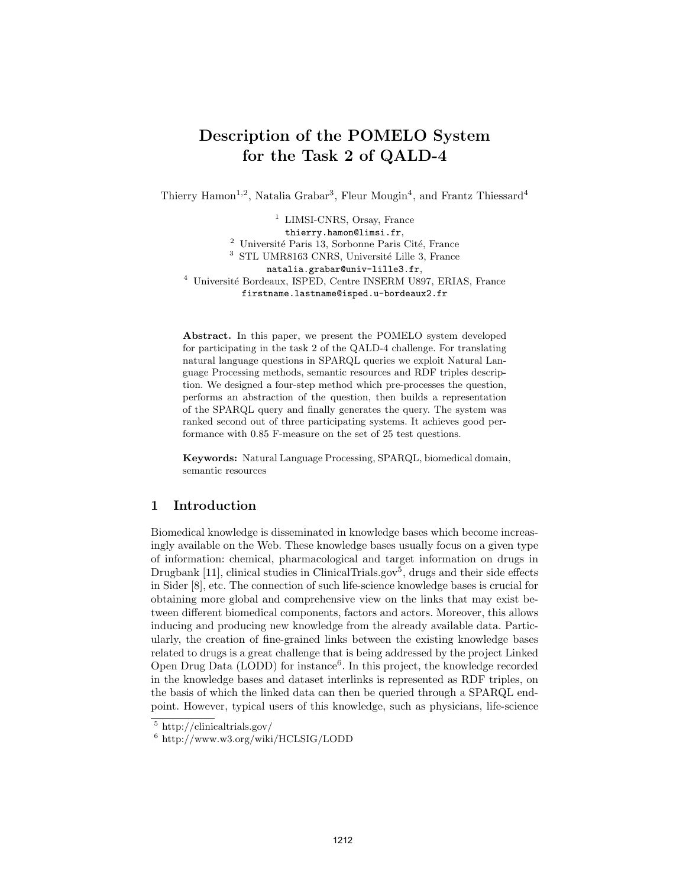# Description of the POMELO System for the Task 2 of QALD-4

Thierry Hamon<sup>1,2</sup>, Natalia Grabar<sup>3</sup>, Fleur Mougin<sup>4</sup>, and Frantz Thiessard<sup>4</sup>

<sup>1</sup> LIMSI-CNRS, Orsay, France thierry.hamon@limsi.fr,  $^2$ Université Paris 13, Sorbonne Paris Cité, France  $3$  STL UMR8163 CNRS, Université Lille 3, France natalia.grabar@univ-lille3.fr, <sup>4</sup> Université Bordeaux, ISPED, Centre INSERM U897, ERIAS, France firstname.lastname@isped.u-bordeaux2.fr

Abstract. In this paper, we present the POMELO system developed for participating in the task 2 of the QALD-4 challenge. For translating natural language questions in SPARQL queries we exploit Natural Language Processing methods, semantic resources and RDF triples description. We designed a four-step method which pre-processes the question, performs an abstraction of the question, then builds a representation of the SPARQL query and finally generates the query. The system was ranked second out of three participating systems. It achieves good performance with 0.85 F-measure on the set of 25 test questions.

Keywords: Natural Language Processing, SPARQL, biomedical domain, semantic resources

## 1 Introduction

Biomedical knowledge is disseminated in knowledge bases which become increasingly available on the Web. These knowledge bases usually focus on a given type of information: chemical, pharmacological and target information on drugs in Drugbank [11], clinical studies in ClinicalTrials.gov<sup>5</sup>, drugs and their side effects in Sider [8], etc. The connection of such life-science knowledge bases is crucial for obtaining more global and comprehensive view on the links that may exist between different biomedical components, factors and actors. Moreover, this allows inducing and producing new knowledge from the already available data. Particularly, the creation of fine-grained links between the existing knowledge bases related to drugs is a great challenge that is being addressed by the project Linked Open Drug Data (LODD) for instance<sup>6</sup>. In this project, the knowledge recorded in the knowledge bases and dataset interlinks is represented as RDF triples, on the basis of which the linked data can then be queried through a SPARQL endpoint. However, typical users of this knowledge, such as physicians, life-science

<sup>5</sup> http://clinicaltrials.gov/

<sup>6</sup> http://www.w3.org/wiki/HCLSIG/LODD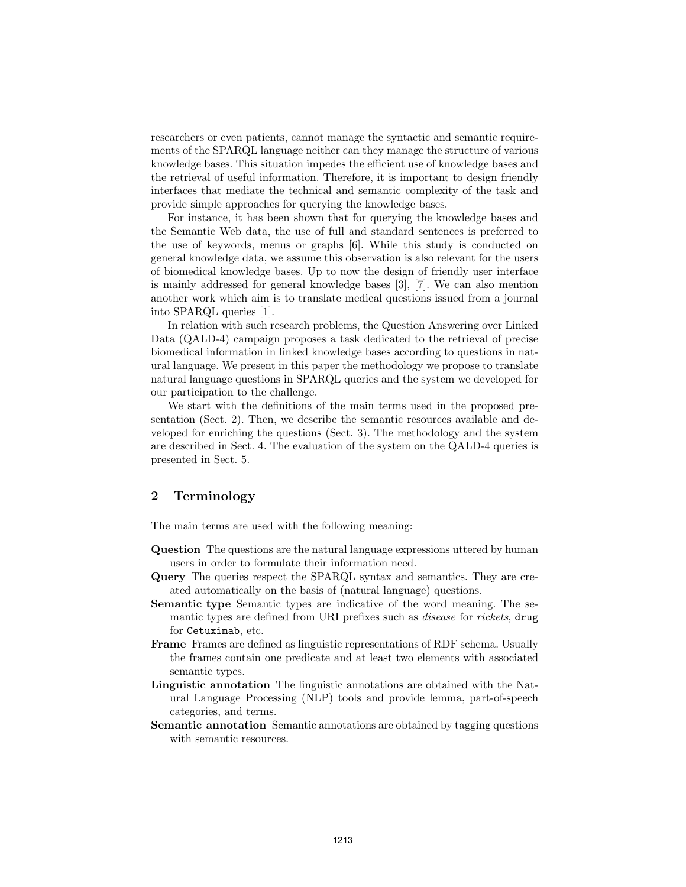researchers or even patients, cannot manage the syntactic and semantic requirements of the SPARQL language neither can they manage the structure of various knowledge bases. This situation impedes the efficient use of knowledge bases and the retrieval of useful information. Therefore, it is important to design friendly interfaces that mediate the technical and semantic complexity of the task and provide simple approaches for querying the knowledge bases.

For instance, it has been shown that for querying the knowledge bases and the Semantic Web data, the use of full and standard sentences is preferred to the use of keywords, menus or graphs [6]. While this study is conducted on general knowledge data, we assume this observation is also relevant for the users of biomedical knowledge bases. Up to now the design of friendly user interface is mainly addressed for general knowledge bases [3], [7]. We can also mention another work which aim is to translate medical questions issued from a journal into SPARQL queries [1].

In relation with such research problems, the Question Answering over Linked Data (QALD-4) campaign proposes a task dedicated to the retrieval of precise biomedical information in linked knowledge bases according to questions in natural language. We present in this paper the methodology we propose to translate natural language questions in SPARQL queries and the system we developed for our participation to the challenge.

We start with the definitions of the main terms used in the proposed presentation (Sect. 2). Then, we describe the semantic resources available and developed for enriching the questions (Sect. 3). The methodology and the system are described in Sect. 4. The evaluation of the system on the QALD-4 queries is presented in Sect. 5.

# 2 Terminology

The main terms are used with the following meaning:

- Question The questions are the natural language expressions uttered by human users in order to formulate their information need.
- Query The queries respect the SPARQL syntax and semantics. They are created automatically on the basis of (natural language) questions.
- Semantic type Semantic types are indicative of the word meaning. The semantic types are defined from URI prefixes such as *disease* for *rickets*, drug for Cetuximab, etc.
- Frame Frames are defined as linguistic representations of RDF schema. Usually the frames contain one predicate and at least two elements with associated semantic types.
- Linguistic annotation The linguistic annotations are obtained with the Natural Language Processing (NLP) tools and provide lemma, part-of-speech categories, and terms.
- Semantic annotation Semantic annotations are obtained by tagging questions with semantic resources.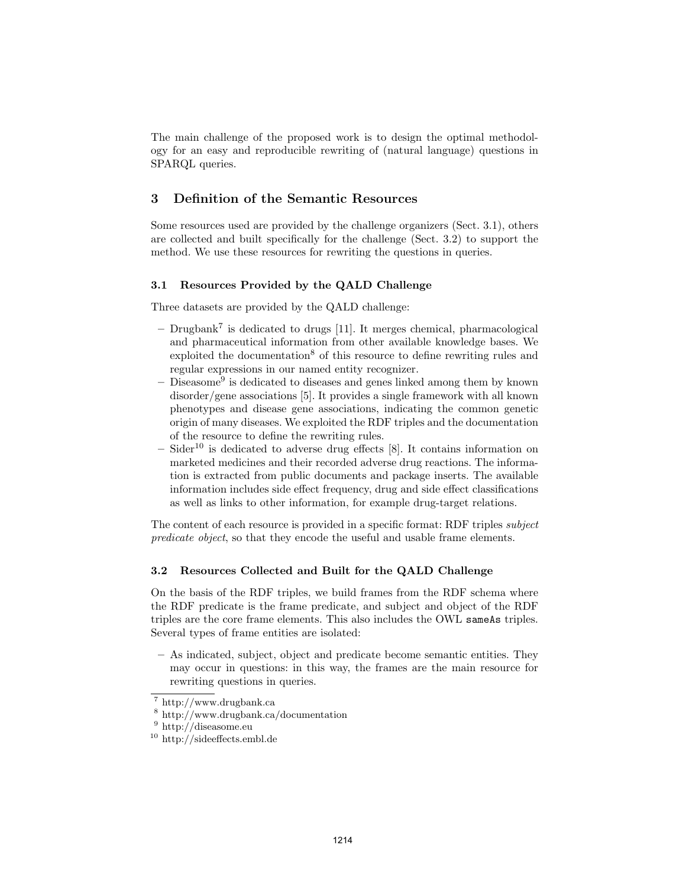The main challenge of the proposed work is to design the optimal methodology for an easy and reproducible rewriting of (natural language) questions in SPARQL queries.

# 3 Definition of the Semantic Resources

Some resources used are provided by the challenge organizers (Sect. 3.1), others are collected and built specifically for the challenge (Sect. 3.2) to support the method. We use these resources for rewriting the questions in queries.

#### 3.1 Resources Provided by the QALD Challenge

Three datasets are provided by the QALD challenge:

- $-$  Drugbank<sup>7</sup> is dedicated to drugs [11]. It merges chemical, pharmacological and pharmaceutical information from other available knowledge bases. We exploited the documentation<sup>8</sup> of this resource to define rewriting rules and regular expressions in our named entity recognizer.
- Diseasome<sup>9</sup> is dedicated to diseases and genes linked among them by known disorder/gene associations [5]. It provides a single framework with all known phenotypes and disease gene associations, indicating the common genetic origin of many diseases. We exploited the RDF triples and the documentation of the resource to define the rewriting rules.
- Sider<sup>10</sup> is dedicated to adverse drug effects  $[8]$ . It contains information on marketed medicines and their recorded adverse drug reactions. The information is extracted from public documents and package inserts. The available information includes side effect frequency, drug and side effect classifications as well as links to other information, for example drug-target relations.

The content of each resource is provided in a specific format: RDF triples subject predicate object, so that they encode the useful and usable frame elements.

#### 3.2 Resources Collected and Built for the QALD Challenge

On the basis of the RDF triples, we build frames from the RDF schema where the RDF predicate is the frame predicate, and subject and object of the RDF triples are the core frame elements. This also includes the OWL sameAs triples. Several types of frame entities are isolated:

– As indicated, subject, object and predicate become semantic entities. They may occur in questions: in this way, the frames are the main resource for rewriting questions in queries.

<sup>7</sup> http://www.drugbank.ca

<sup>8</sup> http://www.drugbank.ca/documentation

<sup>9</sup> http://diseasome.eu

<sup>10</sup> http://sideeffects.embl.de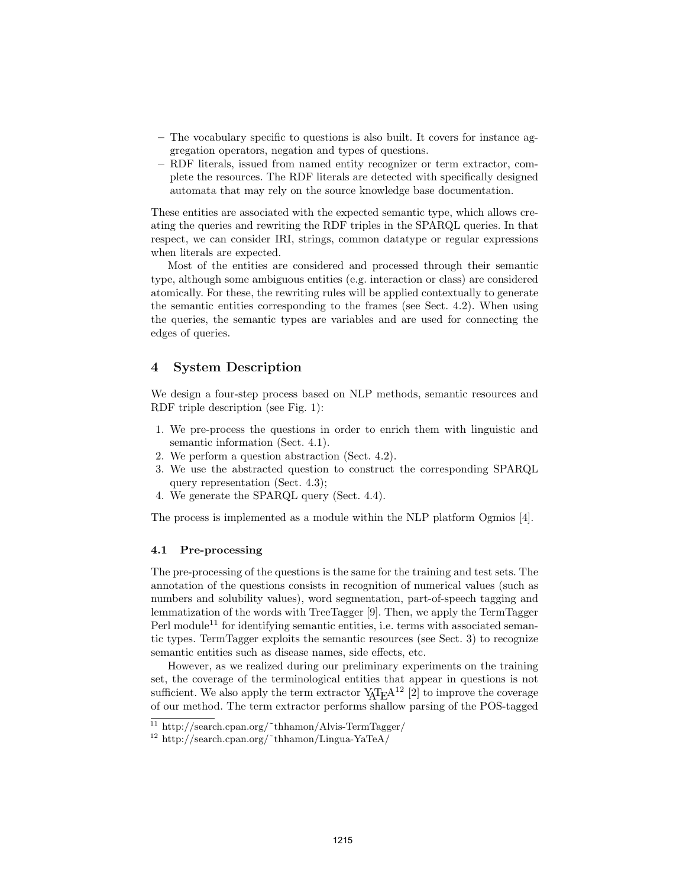- The vocabulary specific to questions is also built. It covers for instance aggregation operators, negation and types of questions.
- RDF literals, issued from named entity recognizer or term extractor, complete the resources. The RDF literals are detected with specifically designed automata that may rely on the source knowledge base documentation.

These entities are associated with the expected semantic type, which allows creating the queries and rewriting the RDF triples in the SPARQL queries. In that respect, we can consider IRI, strings, common datatype or regular expressions when literals are expected.

Most of the entities are considered and processed through their semantic type, although some ambiguous entities (e.g. interaction or class) are considered atomically. For these, the rewriting rules will be applied contextually to generate the semantic entities corresponding to the frames (see Sect. 4.2). When using the queries, the semantic types are variables and are used for connecting the edges of queries.

## 4 System Description

We design a four-step process based on NLP methods, semantic resources and RDF triple description (see Fig. 1):

- 1. We pre-process the questions in order to enrich them with linguistic and semantic information (Sect. 4.1).
- 2. We perform a question abstraction (Sect. 4.2).
- 3. We use the abstracted question to construct the corresponding SPARQL query representation (Sect. 4.3);
- 4. We generate the SPARQL query (Sect. 4.4).

The process is implemented as a module within the NLP platform Ogmios [4].

#### 4.1 Pre-processing

The pre-processing of the questions is the same for the training and test sets. The annotation of the questions consists in recognition of numerical values (such as numbers and solubility values), word segmentation, part-of-speech tagging and lemmatization of the words with TreeTagger [9]. Then, we apply the TermTagger Perl module<sup>11</sup> for identifying semantic entities, i.e. terms with associated semantic types. TermTagger exploits the semantic resources (see Sect. 3) to recognize semantic entities such as disease names, side effects, etc.

However, as we realized during our preliminary experiments on the training set, the coverage of the terminological entities that appear in questions is not sufficient. We also apply the term extractor  $Y_A T_F A^{12}$  [2] to improve the coverage of our method. The term extractor performs shallow parsing of the POS-tagged

<sup>11</sup> http://search.cpan.org/˜thhamon/Alvis-TermTagger/

 $12 \text{ http://search.cpan.org/~thhamon/Lingua-YaTeA)}$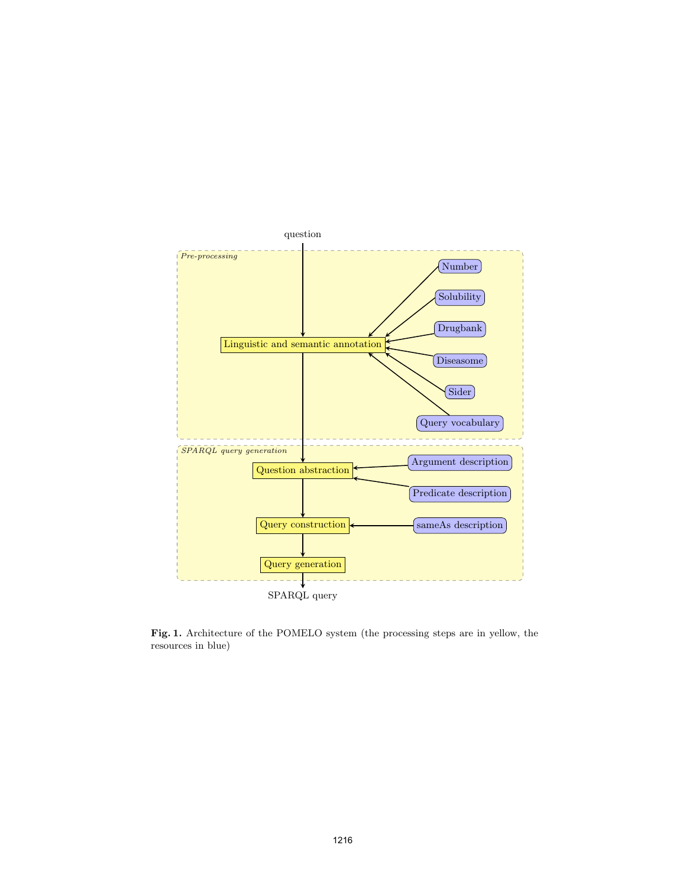

 ${\bf Fig. 1.}$  Architecture of the POMELO system (the processing steps are in yellow, the resources in blue)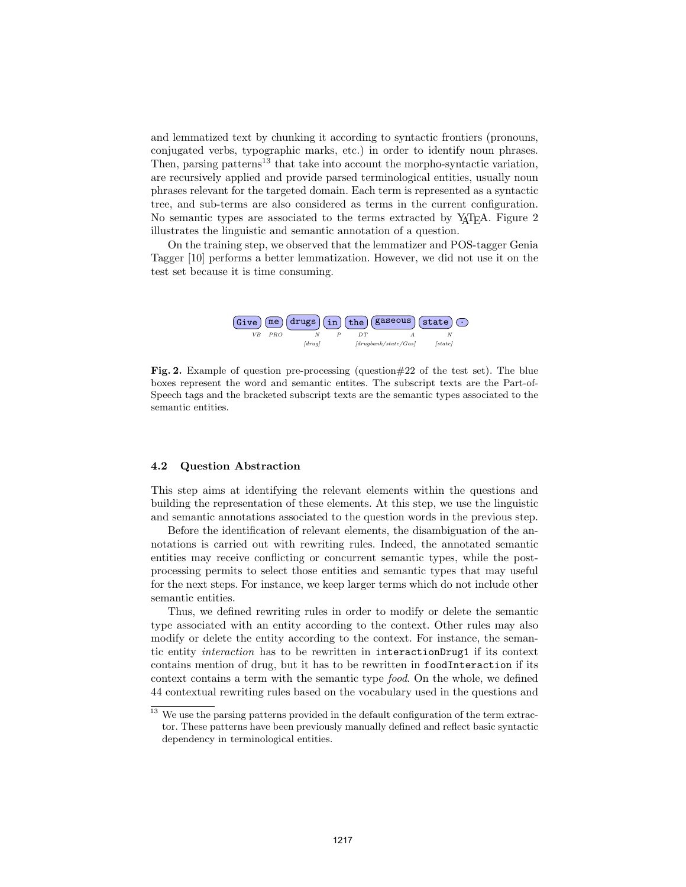and lemmatized text by chunking it according to syntactic frontiers (pronouns, and lemmatized text by chunking it according to syntactic frontiers (pronouns, conjugated verbs, typographic marks, etc.) in order to identify noun phrases. conjugated verbs, typographic marks, etc.) in order to identify noun phrases.<br>Then, parsing patterns<sup>13</sup> that take into account the morpho-syntactic variation, are recursively applied and provide parsed terminological entities, usually noun are recursively applied and provide parsed terminological entities, usually noun phrases relevant for the targeted domain. Each term is represented as a syntactic phrases relevant for the targeted domain. Each term is represented as a syntactic tree, and sub-terms are also considered as terms in the current configuration. No semantic types are associated to the terms extracted by  $Y_{\text{A}}T_{\text{E}}A$ . Figure 2<br>illustrates the linewistic and semantic approaching of a question illustrates the linguistic and semantic annotation of a question. illustrates the linguistic and semantic annotation of a question. nen, parsing patterns<sup>13</sup> that take into account the morpho-syntactic variation,

On the training step, we observed that the lemmatizer and POS-tagger Genia On the training step, we observed that the lemmatizer and POS-tagger Genia Tagger [10] performs a better lemmatization. However, we did not use it on the Tagger [10] performs a better lemmatization. However, we did not use it on the test set because it is time consuming. test set because it is time consuming.



Fig. 2. Example of question pre-processing (question  $\#22$  of the test set). The blue boxes represent the word and semantic entites. The subscript texts are the Part-of-boxes represent the word and semantic entites. The subscript texts are the Part-of-Speech tags and the bracketed subscript texts are the semantic types associated to the Speech tags and the bracketed subscript texts are the semantic types associated to the semantic entities. semantic entities.

#### 4.2 Question Abstraction 4.2 Question Abstraction

This step aims at identifying the relevant elements within the questions and This step aims at identifying the relevant elements within the questions and building the representation of these elements. At this step, we use the linguistic building the representation of these elements. At this step, we use the linguistic and semantic annotations associated to the question words in the previous step. and semantic annotations associated to the question words in the previous step.

Before the identification of relevant elements, the disambiguation of the an-Before the identification of relevant elements, the disambiguation of the annotations is carried out with rewriting rules. Indeed, the annotated semantic entities may receive conflicting or concurrent semantic types, while the postprocessing permits to select those entities and semantic types that may useful processing permits to select those entities and semantic types that may useful for the next steps. For instance, we keep larger terms which do not include other for the next steps. For instance, we keep larger terms which do not include other semantic entities. semantic entities.

Thus, we defined rewriting rules in order to modify or delete the semantic Thus, we defined rewriting rules in order to modify or delete the semantic type associated with an entity according to the context. Other rules may also type associated with an entity according to the context. Other rules may also modify or delete the entity according to the context. For instance, the seman-modify or delete the entity according to the context. For instance, the semantic entity interaction has to be rewritten in interactionDrug1 if its context contains mention of drug, but it has to be rewritten in foodInteraction if its contains mention of drug, but it has to be rewritten in foodInteraction if its context contains a term with the semantic type food. On the whole, we defined 44 contextual rewriting rules based on the vocabulary used in the questions and 44 contextual rewriting rules based on the vocabulary used in the questions and

<sup>&</sup>lt;sup>13</sup> We use the parsing patterns provided in the default configuration of the term extractor. These patterns have been previously manually defined and reflect basic syntactic tor. These patterns have been previously manually defined and reflect basic syntactic dependency in terminological entities. dependency in terminological entities.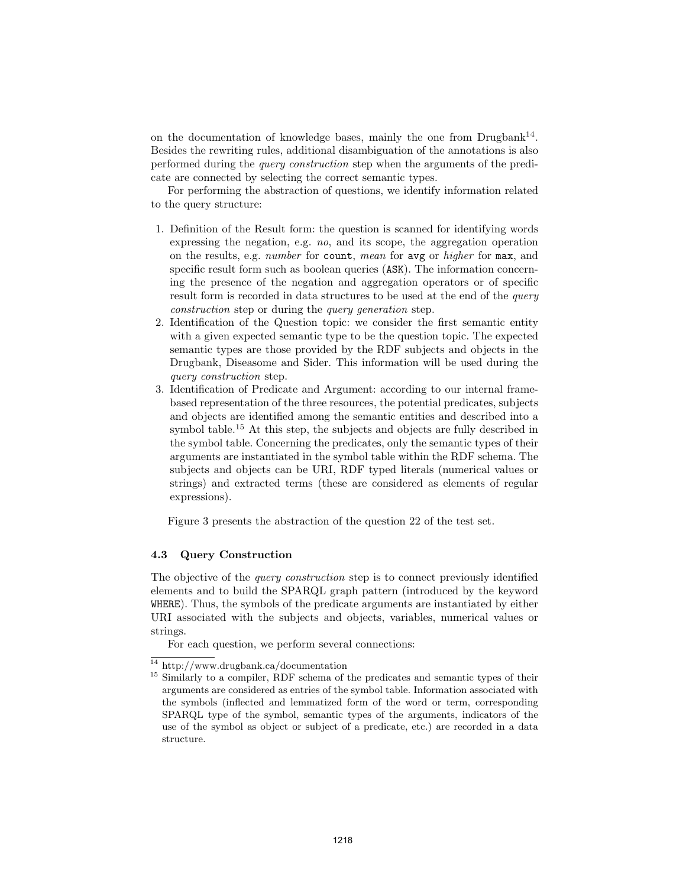on the documentation of knowledge bases, mainly the one from  $Drugbank^{14}$ . Besides the rewriting rules, additional disambiguation of the annotations is also performed during the query construction step when the arguments of the predicate are connected by selecting the correct semantic types.

For performing the abstraction of questions, we identify information related to the query structure:

- 1. Definition of the Result form: the question is scanned for identifying words expressing the negation, e.g. no, and its scope, the aggregation operation on the results, e.g. number for count, mean for avg or higher for max, and specific result form such as boolean queries (ASK). The information concerning the presence of the negation and aggregation operators or of specific result form is recorded in data structures to be used at the end of the *query* construction step or during the query generation step.
- 2. Identification of the Question topic: we consider the first semantic entity with a given expected semantic type to be the question topic. The expected semantic types are those provided by the RDF subjects and objects in the Drugbank, Diseasome and Sider. This information will be used during the query construction step.
- 3. Identification of Predicate and Argument: according to our internal framebased representation of the three resources, the potential predicates, subjects and objects are identified among the semantic entities and described into a symbol table.<sup>15</sup> At this step, the subjects and objects are fully described in the symbol table. Concerning the predicates, only the semantic types of their arguments are instantiated in the symbol table within the RDF schema. The subjects and objects can be URI, RDF typed literals (numerical values or strings) and extracted terms (these are considered as elements of regular expressions).

Figure 3 presents the abstraction of the question 22 of the test set.

#### 4.3 Query Construction

The objective of the *query construction* step is to connect previously identified elements and to build the SPARQL graph pattern (introduced by the keyword WHERE). Thus, the symbols of the predicate arguments are instantiated by either URI associated with the subjects and objects, variables, numerical values or strings.

For each question, we perform several connections:

<sup>14</sup> http://www.drugbank.ca/documentation

<sup>&</sup>lt;sup>15</sup> Similarly to a compiler, RDF schema of the predicates and semantic types of their arguments are considered as entries of the symbol table. Information associated with the symbols (inflected and lemmatized form of the word or term, corresponding SPARQL type of the symbol, semantic types of the arguments, indicators of the use of the symbol as object or subject of a predicate, etc.) are recorded in a data structure.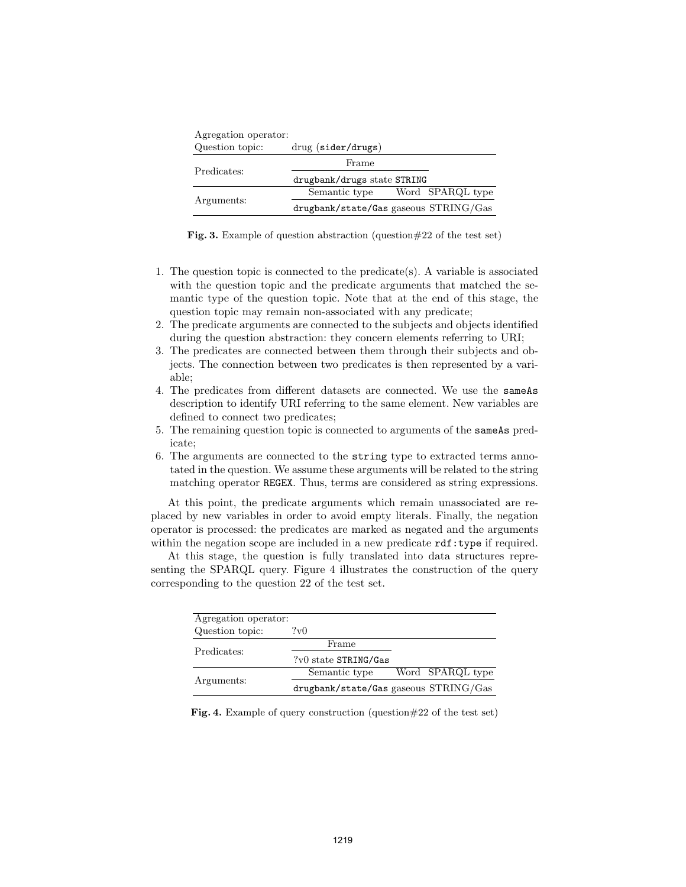| Agregation operator: |                                       |  |  |  |
|----------------------|---------------------------------------|--|--|--|
| Question topic:      | $drug$ (sider/drugs)                  |  |  |  |
| Predicates:          | Frame                                 |  |  |  |
|                      | drugbank/drugs state STRING           |  |  |  |
| Arguments:           | Word SPARQL type<br>Semantic type     |  |  |  |
|                      | drugbank/state/Gas gaseous STRING/Gas |  |  |  |

Fig. 3. Example of question abstraction (question#22 of the test set)

- 1. The question topic is connected to the predicate(s). A variable is associated with the question topic and the predicate arguments that matched the semantic type of the question topic. Note that at the end of this stage, the question topic may remain non-associated with any predicate;
- 2. The predicate arguments are connected to the subjects and objects identified during the question abstraction: they concern elements referring to URI;
- 3. The predicates are connected between them through their subjects and objects. The connection between two predicates is then represented by a variable;
- 4. The predicates from different datasets are connected. We use the sameAs description to identify URI referring to the same element. New variables are defined to connect two predicates;
- 5. The remaining question topic is connected to arguments of the sameAs predicate;
- 6. The arguments are connected to the string type to extracted terms annotated in the question. We assume these arguments will be related to the string matching operator REGEX. Thus, terms are considered as string expressions.

At this point, the predicate arguments which remain unassociated are replaced by new variables in order to avoid empty literals. Finally, the negation operator is processed: the predicates are marked as negated and the arguments within the negation scope are included in a new predicate  $\texttt{rdf:type}$  if required.

At this stage, the question is fully translated into data structures representing the SPARQL query. Figure 4 illustrates the construction of the query corresponding to the question 22 of the test set.

| Agregation operator: |                                       |                  |  |
|----------------------|---------------------------------------|------------------|--|
| Question topic:      | ?v0                                   |                  |  |
| Predicates:          | Frame                                 |                  |  |
|                      | $?v0$ state STRING/Gas                |                  |  |
| Arguments:           | Semantic type                         | Word SPARQL type |  |
|                      | drugbank/state/Gas gaseous STRING/Gas |                  |  |

Fig. 4. Example of query construction (question#22 of the test set)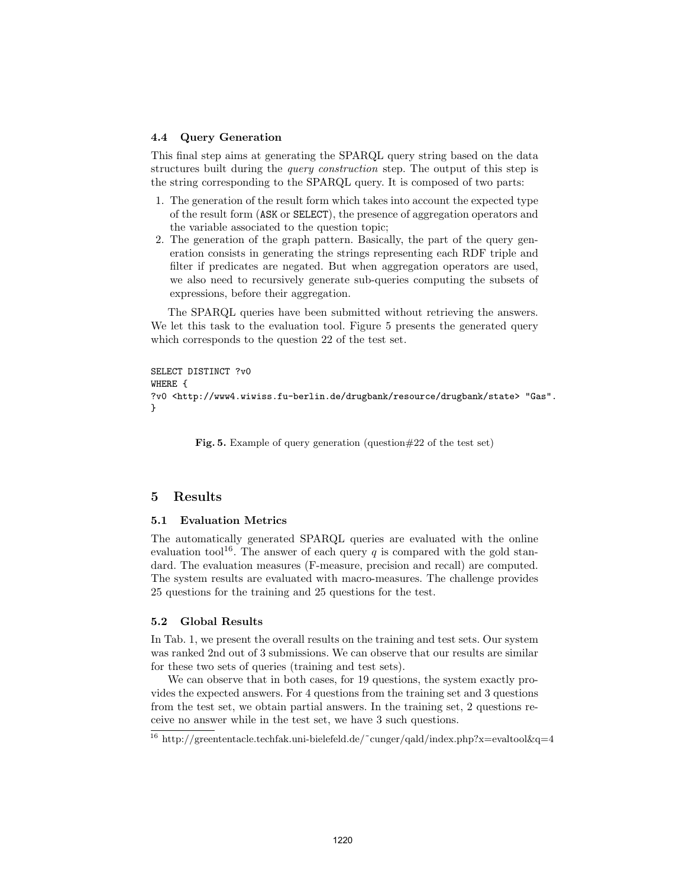#### 4.4 Query Generation

This final step aims at generating the SPARQL query string based on the data structures built during the *query construction* step. The output of this step is the string corresponding to the SPARQL query. It is composed of two parts:

- 1. The generation of the result form which takes into account the expected type of the result form (ASK or SELECT), the presence of aggregation operators and the variable associated to the question topic;
- 2. The generation of the graph pattern. Basically, the part of the query generation consists in generating the strings representing each RDF triple and filter if predicates are negated. But when aggregation operators are used, we also need to recursively generate sub-queries computing the subsets of expressions, before their aggregation.

The SPARQL queries have been submitted without retrieving the answers. We let this task to the evaluation tool. Figure 5 presents the generated query which corresponds to the question 22 of the test set.

```
SELECT DISTINCT ?v0
WHERE {
?v0 <http://www4.wiwiss.fu-berlin.de/drugbank/resource/drugbank/state> "Gas".
}
```
Fig. 5. Example of query generation (question#22 of the test set)

#### 5 Results

#### 5.1 Evaluation Metrics

The automatically generated SPARQL queries are evaluated with the online evaluation tool<sup>16</sup>. The answer of each query q is compared with the gold standard. The evaluation measures (F-measure, precision and recall) are computed. The system results are evaluated with macro-measures. The challenge provides 25 questions for the training and 25 questions for the test.

#### 5.2 Global Results

In Tab. 1, we present the overall results on the training and test sets. Our system was ranked 2nd out of 3 submissions. We can observe that our results are similar for these two sets of queries (training and test sets).

We can observe that in both cases, for 19 questions, the system exactly provides the expected answers. For 4 questions from the training set and 3 questions from the test set, we obtain partial answers. In the training set, 2 questions receive no answer while in the test set, we have 3 such questions.

<sup>&</sup>lt;sup>16</sup> http://greententacle.techfak.uni-bielefeld.de/~cunger/qald/index.php?x=evaltool&q=4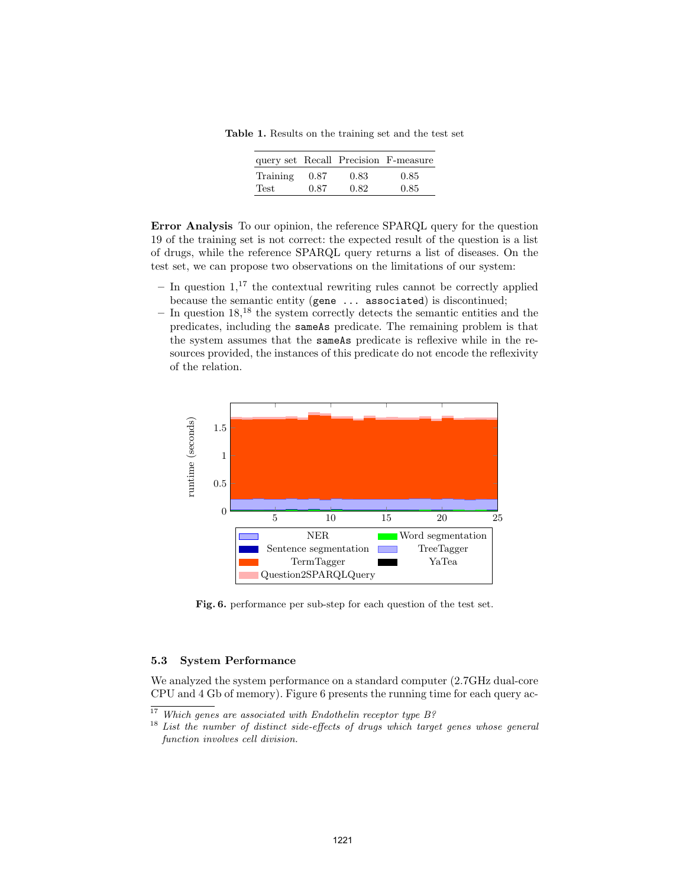Table 1. Results on the training set and the test set

|          |      |      | query set Recall Precision F-measure |
|----------|------|------|--------------------------------------|
| Training | 0.87 | 0.83 | 0.85                                 |
| Test     | 0.87 | 0.82 | 0.85                                 |

Error Analysis To our opinion, the reference SPARQL query for the question 19 of the training set is not correct: the expected result of the question is a list of drugs, while the reference SPARQL query returns a list of diseases. On the test set, we can propose two observations on the limitations of our system:

- In question  $1$ ,<sup>17</sup> the contextual rewriting rules cannot be correctly applied because the semantic entity (gene ... associated) is discontinued;
- $-$  In question 18,<sup>18</sup> the system correctly detects the semantic entities and the predicates, including the sameAs predicate. The remaining problem is that the system assumes that the sameAs predicate is reflexive while in the resources provided, the instances of this predicate do not encode the reflexivity of the relation.



Fig. 6. performance per sub-step for each question of the test set.

#### 5.3 System Performance

We analyzed the system performance on a standard computer (2.7GHz dual-core CPU and 4 Gb of memory). Figure 6 presents the running time for each query ac-

 $17$  Which genes are associated with Endothelin receptor type B?

<sup>&</sup>lt;sup>18</sup> List the number of distinct side-effects of drugs which target genes whose general function involves cell division.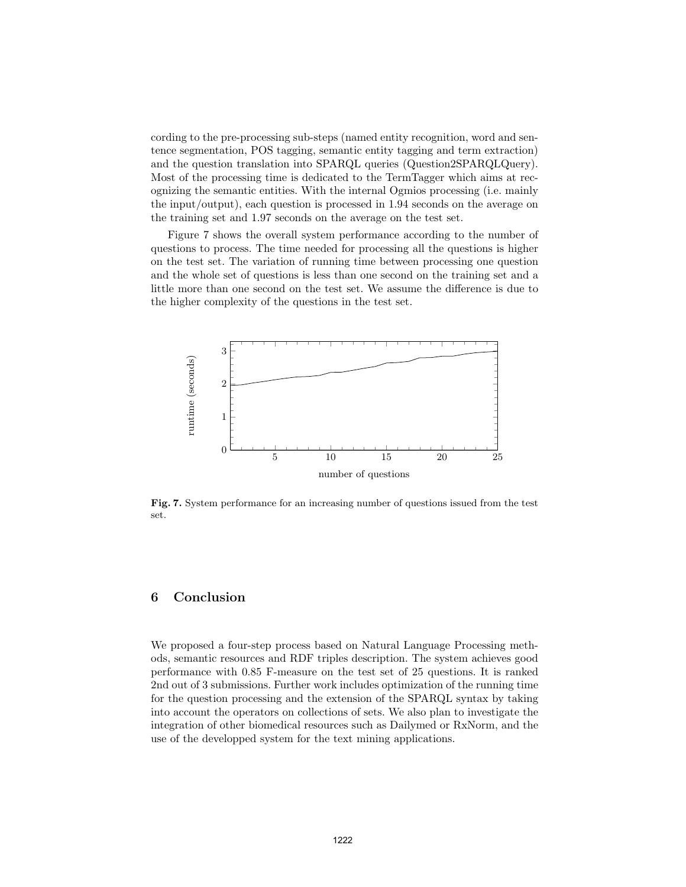cording to the pre-processing sub-steps (named entity recognition, word and sentence segmentation, POS tagging, semantic entity tagging and term extraction) and the question translation into SPARQL queries (Question2SPARQLQuery). Most of the processing time is dedicated to the TermTagger which aims at recognizing the semantic entities. With the internal Ogmios processing (i.e. mainly the input/output), each question is processed in 1.94 seconds on the average on the training set and 1.97 seconds on the average on the test set.

Figure 7 shows the overall system performance according to the number of questions to process. The time needed for processing all the questions is higher on the test set. The variation of running time between processing one question and the whole set of questions is less than one second on the training set and a little more than one second on the test set. We assume the difference is due to the higher complexity of the questions in the test set.



Fig. 7. System performance for an increasing number of questions issued from the test set.

## 6 Conclusion

We proposed a four-step process based on Natural Language Processing methods, semantic resources and RDF triples description. The system achieves good performance with 0.85 F-measure on the test set of 25 questions. It is ranked 2nd out of 3 submissions. Further work includes optimization of the running time for the question processing and the extension of the SPARQL syntax by taking into account the operators on collections of sets. We also plan to investigate the integration of other biomedical resources such as Dailymed or RxNorm, and the use of the developped system for the text mining applications.